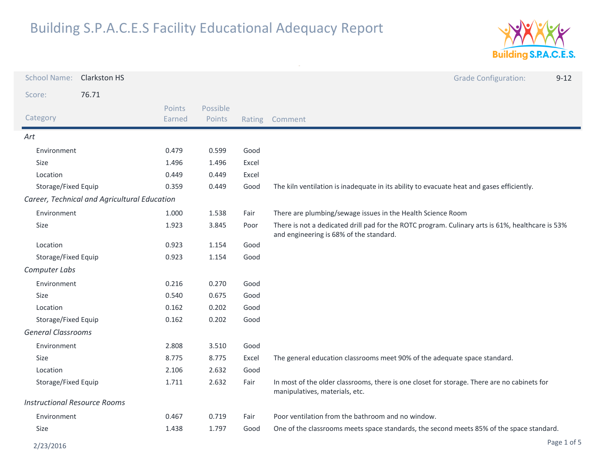

| <b>School Name:</b>                 | <b>Clarkston HS</b>                          |                  |                           |       | <b>Grade Configuration:</b><br>$9 - 12$                                                                                                     |
|-------------------------------------|----------------------------------------------|------------------|---------------------------|-------|---------------------------------------------------------------------------------------------------------------------------------------------|
| Score:                              | 76.71                                        |                  |                           |       |                                                                                                                                             |
| Category                            |                                              | Points<br>Earned | Possible<br><b>Points</b> |       | Rating Comment                                                                                                                              |
| Art                                 |                                              |                  |                           |       |                                                                                                                                             |
| Environment                         |                                              | 0.479            | 0.599                     | Good  |                                                                                                                                             |
| Size                                |                                              | 1.496            | 1.496                     | Excel |                                                                                                                                             |
| Location                            |                                              | 0.449            | 0.449                     | Excel |                                                                                                                                             |
| Storage/Fixed Equip                 |                                              | 0.359            | 0.449                     | Good  | The kiln ventilation is inadequate in its ability to evacuate heat and gases efficiently.                                                   |
|                                     | Career, Technical and Agricultural Education |                  |                           |       |                                                                                                                                             |
| Environment                         |                                              | 1.000            | 1.538                     | Fair  | There are plumbing/sewage issues in the Health Science Room                                                                                 |
| Size                                |                                              | 1.923            | 3.845                     | Poor  | There is not a dedicated drill pad for the ROTC program. Culinary arts is 61%, healthcare is 53%<br>and engineering is 68% of the standard. |
| Location                            |                                              | 0.923            | 1.154                     | Good  |                                                                                                                                             |
| Storage/Fixed Equip                 |                                              | 0.923            | 1.154                     | Good  |                                                                                                                                             |
| Computer Labs                       |                                              |                  |                           |       |                                                                                                                                             |
| Environment                         |                                              | 0.216            | 0.270                     | Good  |                                                                                                                                             |
| Size                                |                                              | 0.540            | 0.675                     | Good  |                                                                                                                                             |
| Location                            |                                              | 0.162            | 0.202                     | Good  |                                                                                                                                             |
| Storage/Fixed Equip                 |                                              | 0.162            | 0.202                     | Good  |                                                                                                                                             |
| <b>General Classrooms</b>           |                                              |                  |                           |       |                                                                                                                                             |
| Environment                         |                                              | 2.808            | 3.510                     | Good  |                                                                                                                                             |
| Size                                |                                              | 8.775            | 8.775                     | Excel | The general education classrooms meet 90% of the adequate space standard.                                                                   |
| Location                            |                                              | 2.106            | 2.632                     | Good  |                                                                                                                                             |
| Storage/Fixed Equip                 |                                              | 1.711            | 2.632                     | Fair  | In most of the older classrooms, there is one closet for storage. There are no cabinets for<br>manipulatives, materials, etc.               |
| <b>Instructional Resource Rooms</b> |                                              |                  |                           |       |                                                                                                                                             |
| Environment                         |                                              | 0.467            | 0.719                     | Fair  | Poor ventilation from the bathroom and no window.                                                                                           |
| <b>Size</b>                         |                                              | 1.438            | 1.797                     | Good  | One of the classrooms meets space standards, the second meets 85% of the space standard.                                                    |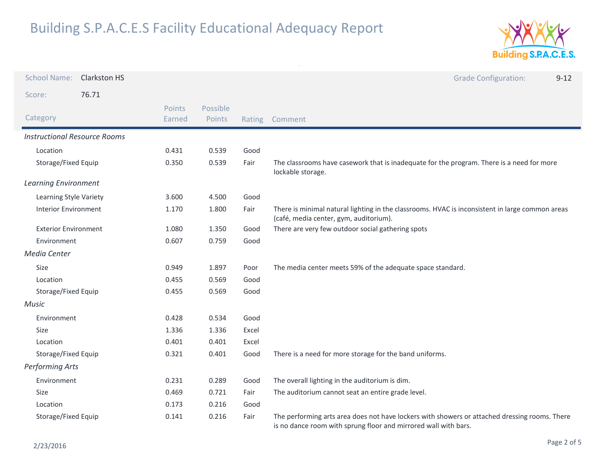

| <b>School Name:</b>                 | <b>Clarkston HS</b> |                  |                    |        | <b>Grade Configuration:</b><br>$9 - 12$                                                                                                                          |
|-------------------------------------|---------------------|------------------|--------------------|--------|------------------------------------------------------------------------------------------------------------------------------------------------------------------|
| Score:                              | 76.71               |                  |                    |        |                                                                                                                                                                  |
| Category                            |                     | Points<br>Earned | Possible<br>Points | Rating | Comment                                                                                                                                                          |
| <b>Instructional Resource Rooms</b> |                     |                  |                    |        |                                                                                                                                                                  |
| Location                            |                     | 0.431            | 0.539              | Good   |                                                                                                                                                                  |
| Storage/Fixed Equip                 |                     | 0.350            | 0.539              | Fair   | The classrooms have casework that is inadequate for the program. There is a need for more<br>lockable storage.                                                   |
| <b>Learning Environment</b>         |                     |                  |                    |        |                                                                                                                                                                  |
| Learning Style Variety              |                     | 3.600            | 4.500              | Good   |                                                                                                                                                                  |
| <b>Interior Environment</b>         |                     | 1.170            | 1.800              | Fair   | There is minimal natural lighting in the classrooms. HVAC is inconsistent in large common areas<br>(café, media center, gym, auditorium).                        |
| <b>Exterior Environment</b>         |                     | 1.080            | 1.350              | Good   | There are very few outdoor social gathering spots                                                                                                                |
| Environment                         |                     | 0.607            | 0.759              | Good   |                                                                                                                                                                  |
| Media Center                        |                     |                  |                    |        |                                                                                                                                                                  |
| Size                                |                     | 0.949            | 1.897              | Poor   | The media center meets 59% of the adequate space standard.                                                                                                       |
| Location                            |                     | 0.455            | 0.569              | Good   |                                                                                                                                                                  |
| Storage/Fixed Equip                 |                     | 0.455            | 0.569              | Good   |                                                                                                                                                                  |
| <b>Music</b>                        |                     |                  |                    |        |                                                                                                                                                                  |
| Environment                         |                     | 0.428            | 0.534              | Good   |                                                                                                                                                                  |
| Size                                |                     | 1.336            | 1.336              | Excel  |                                                                                                                                                                  |
| Location                            |                     | 0.401            | 0.401              | Excel  |                                                                                                                                                                  |
| Storage/Fixed Equip                 |                     | 0.321            | 0.401              | Good   | There is a need for more storage for the band uniforms.                                                                                                          |
| <b>Performing Arts</b>              |                     |                  |                    |        |                                                                                                                                                                  |
| Environment                         |                     | 0.231            | 0.289              | Good   | The overall lighting in the auditorium is dim.                                                                                                                   |
| Size                                |                     | 0.469            | 0.721              | Fair   | The auditorium cannot seat an entire grade level.                                                                                                                |
| Location                            |                     | 0.173            | 0.216              | Good   |                                                                                                                                                                  |
| Storage/Fixed Equip                 |                     | 0.141            | 0.216              | Fair   | The performing arts area does not have lockers with showers or attached dressing rooms. There<br>is no dance room with sprung floor and mirrored wall with bars. |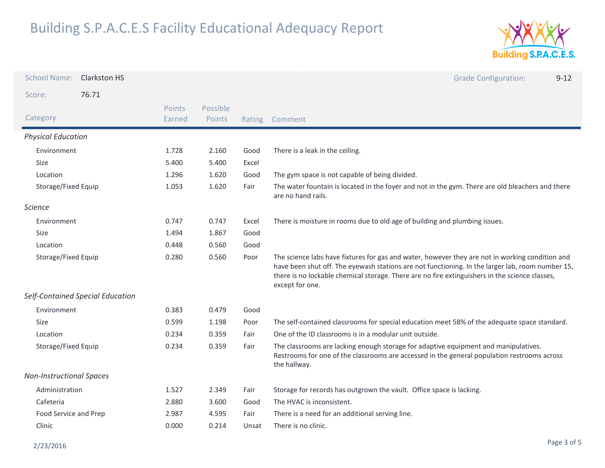

| <b>School Name:</b>             | <b>Clarkston HS</b>              |                  |                    |        | <b>Grade Configuration:</b><br>$9 - 12$                                                                                                                                                                                                                                                                                  |
|---------------------------------|----------------------------------|------------------|--------------------|--------|--------------------------------------------------------------------------------------------------------------------------------------------------------------------------------------------------------------------------------------------------------------------------------------------------------------------------|
| Score:                          | 76.71                            |                  |                    |        |                                                                                                                                                                                                                                                                                                                          |
| Category                        |                                  | Points<br>Earned | Possible<br>Points | Rating | Comment                                                                                                                                                                                                                                                                                                                  |
| <b>Physical Education</b>       |                                  |                  |                    |        |                                                                                                                                                                                                                                                                                                                          |
| Environment                     |                                  | 1.728            | 2.160              | Good   | There is a leak in the ceiling.                                                                                                                                                                                                                                                                                          |
| <b>Size</b>                     |                                  | 5.400            | 5.400              | Excel  |                                                                                                                                                                                                                                                                                                                          |
| Location                        |                                  | 1.296            | 1.620              | Good   | The gym space is not capable of being divided.                                                                                                                                                                                                                                                                           |
| Storage/Fixed Equip             |                                  | 1.053            | 1.620              | Fair   | The water fountain is located in the foyer and not in the gym. There are old bleachers and there<br>are no hand rails.                                                                                                                                                                                                   |
| <b>Science</b>                  |                                  |                  |                    |        |                                                                                                                                                                                                                                                                                                                          |
| Environment                     |                                  | 0.747            | 0.747              | Excel  | There is moisture in rooms due to old age of building and plumbing issues.                                                                                                                                                                                                                                               |
| <b>Size</b>                     |                                  | 1.494            | 1.867              | Good   |                                                                                                                                                                                                                                                                                                                          |
| Location                        |                                  | 0.448            | 0.560              | Good   |                                                                                                                                                                                                                                                                                                                          |
| Storage/Fixed Equip             |                                  | 0.280            | 0.560              | Poor   | The science labs have fixtures for gas and water, however they are not in working condition and<br>have been shut off. The eyewash stations are not functioning. In the larger lab, room number 15,<br>there is no lockable chemical storage. There are no fire extinguishers in the science classes,<br>except for one. |
|                                 | Self-Contained Special Education |                  |                    |        |                                                                                                                                                                                                                                                                                                                          |
| Environment                     |                                  | 0.383            | 0.479              | Good   |                                                                                                                                                                                                                                                                                                                          |
| Size                            |                                  | 0.599            | 1.198              | Poor   | The self-contained classrooms for special education meet 58% of the adequate space standard.                                                                                                                                                                                                                             |
| Location                        |                                  | 0.234            | 0.359              | Fair   | One of the ID classrooms is in a modular unit outside.                                                                                                                                                                                                                                                                   |
| Storage/Fixed Equip             |                                  | 0.234            | 0.359              | Fair   | The classrooms are lacking enough storage for adaptive equipment and manipulatives.<br>Restrooms for one of the classrooms are accessed in the general population restrooms across<br>the hallway.                                                                                                                       |
| <b>Non-Instructional Spaces</b> |                                  |                  |                    |        |                                                                                                                                                                                                                                                                                                                          |
| Administration                  |                                  | 1.527            | 2.349              | Fair   | Storage for records has outgrown the vault. Office space is lacking.                                                                                                                                                                                                                                                     |
| Cafeteria                       |                                  | 2.880            | 3.600              | Good   | The HVAC is inconsistent.                                                                                                                                                                                                                                                                                                |
| Food Service and Prep           |                                  | 2.987            | 4.595              | Fair   | There is a need for an additional serving line.                                                                                                                                                                                                                                                                          |
| Clinic                          |                                  | 0.000            | 0.214              | Unsat  | There is no clinic.                                                                                                                                                                                                                                                                                                      |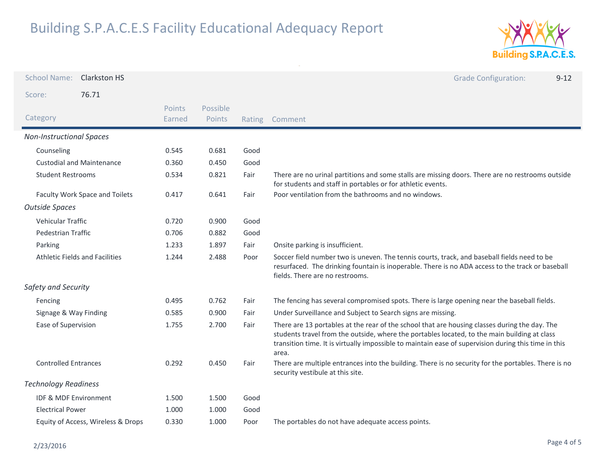

| <b>School Name:</b>             | <b>Clarkston HS</b>                   |                  |                    |        | <b>Grade Configuration:</b><br>$9 - 12$                                                                                                                                                                                                                                                                        |
|---------------------------------|---------------------------------------|------------------|--------------------|--------|----------------------------------------------------------------------------------------------------------------------------------------------------------------------------------------------------------------------------------------------------------------------------------------------------------------|
| Score:                          | 76.71                                 |                  |                    |        |                                                                                                                                                                                                                                                                                                                |
| Category                        |                                       | Points<br>Earned | Possible<br>Points | Rating | Comment                                                                                                                                                                                                                                                                                                        |
| <b>Non-Instructional Spaces</b> |                                       |                  |                    |        |                                                                                                                                                                                                                                                                                                                |
| Counseling                      |                                       | 0.545            | 0.681              | Good   |                                                                                                                                                                                                                                                                                                                |
|                                 | <b>Custodial and Maintenance</b>      | 0.360            | 0.450              | Good   |                                                                                                                                                                                                                                                                                                                |
| <b>Student Restrooms</b>        |                                       | 0.534            | 0.821              | Fair   | There are no urinal partitions and some stalls are missing doors. There are no restrooms outside<br>for students and staff in portables or for athletic events.                                                                                                                                                |
|                                 | Faculty Work Space and Toilets        | 0.417            | 0.641              | Fair   | Poor ventilation from the bathrooms and no windows.                                                                                                                                                                                                                                                            |
| <b>Outside Spaces</b>           |                                       |                  |                    |        |                                                                                                                                                                                                                                                                                                                |
| Vehicular Traffic               |                                       | 0.720            | 0.900              | Good   |                                                                                                                                                                                                                                                                                                                |
| <b>Pedestrian Traffic</b>       |                                       | 0.706            | 0.882              | Good   |                                                                                                                                                                                                                                                                                                                |
| Parking                         |                                       | 1.233            | 1.897              | Fair   | Onsite parking is insufficient.                                                                                                                                                                                                                                                                                |
|                                 | <b>Athletic Fields and Facilities</b> | 1.244            | 2.488              | Poor   | Soccer field number two is uneven. The tennis courts, track, and baseball fields need to be<br>resurfaced. The drinking fountain is inoperable. There is no ADA access to the track or baseball<br>fields. There are no restrooms.                                                                             |
| Safety and Security             |                                       |                  |                    |        |                                                                                                                                                                                                                                                                                                                |
| Fencing                         |                                       | 0.495            | 0.762              | Fair   | The fencing has several compromised spots. There is large opening near the baseball fields.                                                                                                                                                                                                                    |
| Signage & Way Finding           |                                       | 0.585            | 0.900              | Fair   | Under Surveillance and Subject to Search signs are missing.                                                                                                                                                                                                                                                    |
| Ease of Supervision             |                                       | 1.755            | 2.700              | Fair   | There are 13 portables at the rear of the school that are housing classes during the day. The<br>students travel from the outside, where the portables located, to the main building at class<br>transition time. It is virtually impossible to maintain ease of supervision during this time in this<br>area. |
| <b>Controlled Entrances</b>     |                                       | 0.292            | 0.450              | Fair   | There are multiple entrances into the building. There is no security for the portables. There is no<br>security vestibule at this site.                                                                                                                                                                        |
| <b>Technology Readiness</b>     |                                       |                  |                    |        |                                                                                                                                                                                                                                                                                                                |
| IDF & MDF Environment           |                                       | 1.500            | 1.500              | Good   |                                                                                                                                                                                                                                                                                                                |
| <b>Electrical Power</b>         |                                       | 1.000            | 1.000              | Good   |                                                                                                                                                                                                                                                                                                                |
|                                 | Equity of Access, Wireless & Drops    | 0.330            | 1.000              | Poor   | The portables do not have adequate access points.                                                                                                                                                                                                                                                              |